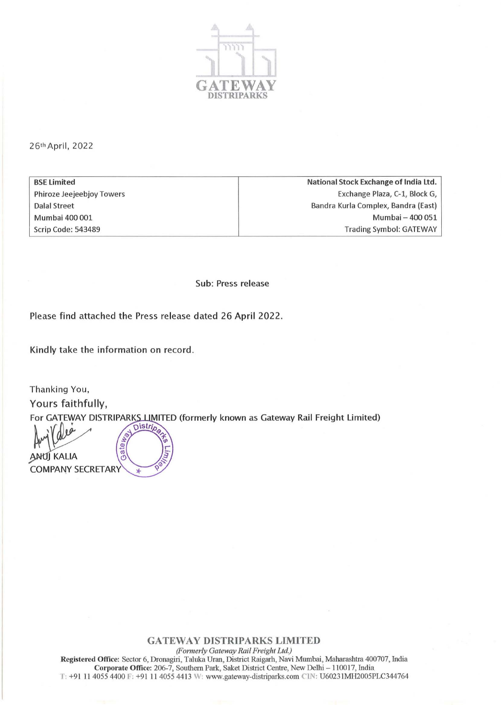

26th April, 2022

BSE Limited Phiroze Jeejeebjoy Towers Dalal Street Mumbai 400 001 Scrip Code: 543489

National Stock Exchange of India Ltd. Exchange Plaza, C-1, Block G, Bandra Kurla Complex, Bandra (East) Mumbai - 400 051 Trading Symbol: GATEWAY

Sub: Press release

Please find attached the Press release dated 26 April 2022.

Kindly take the information on record.

Thanking You, Yours faithfully, For GATEWAY DISTRIPARKS LIMITED (formerly known as Gateway Rail Freight Limited)<br>
Nullet Contract Contract Contract Contract Contract Contract Contract Contract Contract Contract Contract Contract Contract Contract Contrac

 $\mathbb{R}$   $\mathbb{R}$   $\mathbb{R}$   $\mathbb{R}$ COMPANY SECRETARY

GATEWAY DJSTRIPARKS LIMITED

*(Formerly Gateway Rail F,.eight Ltd.)*  Registered Office: Sector 6, Dronagiri, Taluka Uran, District Raigarh, Navi Mumbai, Maharashtra 400707, India Corporate Office: 206-7, Southern Park, Saket District Centre, New Delhi - 110017, India T: +91 11 4055 4400 F: +91 11 4055 4413 W: www.gateway-distriparks.com CIN: U60231MH2005PLC344764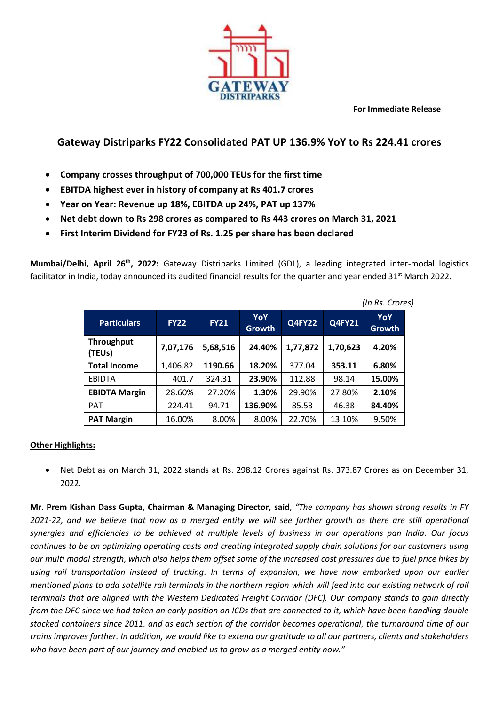**For Immediate Release**



## **Gateway Distriparks FY22 Consolidated PAT UP 136.9% YoY to Rs 224.41 crores**

- **Company crosses throughput of 700,000 TEUs for the first time**
- **EBITDA highest ever in history of company at Rs 401.7 crores**
- **Year on Year: Revenue up 18%, EBITDA up 24%, PAT up 137%**
- **Net debt down to Rs 298 crores as compared to Rs 443 crores on March 31, 2021**
- **First Interim Dividend for FY23 of Rs. 1.25 per share has been declared**

**Mumbai/Delhi, April 26th , 2022:** Gateway Distriparks Limited (GDL), a leading integrated inter-modal logistics facilitator in India, today announced its audited financial results for the quarter and year ended  $31^{st}$  March 2022.

| <b>Particulars</b>          | <b>FY22</b> | <b>FY21</b> | YoY<br><b>Growth</b> | <b>Q4FY22</b> | Q4FY21   | YoY<br><b>Growth</b> |
|-----------------------------|-------------|-------------|----------------------|---------------|----------|----------------------|
| <b>Throughput</b><br>(TEUs) | 7,07,176    | 5,68,516    | 24.40%               | 1,77,872      | 1,70,623 | 4.20%                |
| <b>Total Income</b>         | 1,406.82    | 1190.66     | 18.20%               | 377.04        | 353.11   | 6.80%                |
| EBIDTA                      | 401.7       | 324.31      | 23.90%               | 112.88        | 98.14    | 15.00%               |
| <b>EBIDTA Margin</b>        | 28.60%      | 27.20%      | 1.30%                | 29.90%        | 27.80%   | 2.10%                |
| <b>PAT</b>                  | 224.41      | 94.71       | 136.90%              | 85.53         | 46.38    | 84.40%               |
| <b>PAT Margin</b>           | 16.00%      | 8.00%       | 8.00%                | 22.70%        | 13.10%   | 9.50%                |

*(In Rs. Crores)*

## **Other Highlights:**

 Net Debt as on March 31, 2022 stands at Rs. 298.12 Crores against Rs. 373.87 Crores as on December 31, 2022.

**Mr. Prem Kishan Dass Gupta, Chairman & Managing Director, said**, *"The company has shown strong results in FY 2021-22, and we believe that now as a merged entity we will see further growth as there are still operational synergies and efficiencies to be achieved at multiple levels of business in our operations pan India. Our focus continues to be on optimizing operating costs and creating integrated supply chain solutions for our customers using our multi modal strength, which also helps them offset some of the increased cost pressures due to fuel price hikes by using rail transportation instead of trucking. In terms of expansion, we have now embarked upon our earlier mentioned plans to add satellite rail terminals in the northern region which will feed into our existing network of rail terminals that are aligned with the Western Dedicated Freight Corridor (DFC). Our company stands to gain directly from the DFC since we had taken an early position on ICDs that are connected to it, which have been handling double stacked containers since 2011, and as each section of the corridor becomes operational, the turnaround time of our trains improves further. In addition, we would like to extend our gratitude to all our partners, clients and stakeholders who have been part of our journey and enabled us to grow as a merged entity now."*